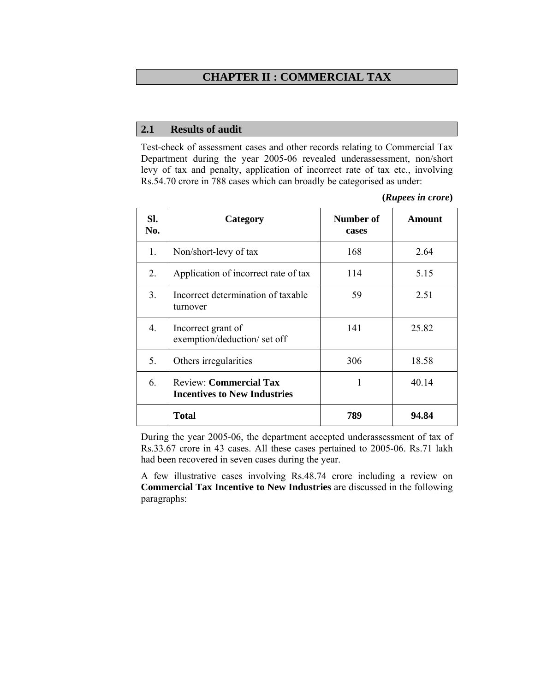## **CHAPTER II : COMMERCIAL TAX**

#### **2.1 Results of audit**

Test-check of assessment cases and other records relating to Commercial Tax Department during the year 2005-06 revealed underassessment, non/short levy of tax and penalty, application of incorrect rate of tax etc., involving Rs.54.70 crore in 788 cases which can broadly be categorised as under:

| (Rupees in crore) |  |
|-------------------|--|
|                   |  |

| SI.<br>No. | Category                                                             | Number of<br>cases | Amount |
|------------|----------------------------------------------------------------------|--------------------|--------|
| 1.         | Non/short-levy of tax                                                | 168                | 2.64   |
| 2.         | Application of incorrect rate of tax                                 | 114                | 5.15   |
| 3.         | Incorrect determination of taxable<br>turnover                       | 59                 | 2.51   |
| 4.         | Incorrect grant of<br>exemption/deduction/ set off                   | 141                | 25.82  |
| 5.         | Others irregularities                                                | 306                | 18.58  |
| 6.         | <b>Review: Commercial Tax</b><br><b>Incentives to New Industries</b> | 1                  | 40.14  |
|            | <b>Total</b>                                                         | 789                | 94.84  |

During the year 2005-06, the department accepted underassessment of tax of Rs.33.67 crore in 43 cases. All these cases pertained to 2005-06. Rs.71 lakh had been recovered in seven cases during the year.

A few illustrative cases involving Rs.48.74 crore including a review on **Commercial Tax Incentive to New Industries** are discussed in the following paragraphs: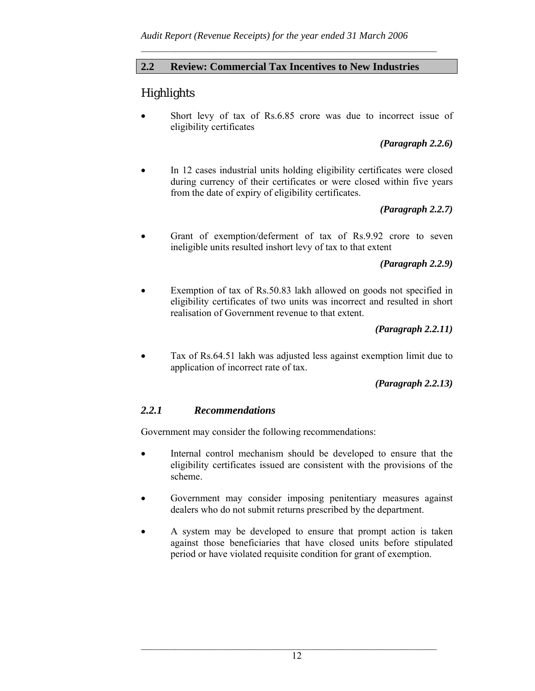## **2.2 Review: Commercial Tax Incentives to New Industries**

 $\mathcal{L}_\text{max}$  and the contract of the contract of the contract of the contract of the contract of the contract of

# **Highlights**

Short levy of tax of Rs.6.85 crore was due to incorrect issue of eligibility certificates

*(Paragraph 2.2.6)* 

• In 12 cases industrial units holding eligibility certificates were closed during currency of their certificates or were closed within five years from the date of expiry of eligibility certificates.

## *(Paragraph 2.2.7)*

• Grant of exemption/deferment of tax of Rs.9.92 crore to seven ineligible units resulted inshort levy of tax to that extent

### *(Paragraph 2.2.9)*

Exemption of tax of Rs.50.83 lakh allowed on goods not specified in eligibility certificates of two units was incorrect and resulted in short realisation of Government revenue to that extent.

### *(Paragraph 2.2.11)*

• Tax of Rs.64.51 lakh was adjusted less against exemption limit due to application of incorrect rate of tax.

### *(Paragraph 2.2.13)*

### *2.2.1 Recommendations*

Government may consider the following recommendations:

- Internal control mechanism should be developed to ensure that the eligibility certificates issued are consistent with the provisions of the scheme.
- Government may consider imposing penitentiary measures against dealers who do not submit returns prescribed by the department.
- A system may be developed to ensure that prompt action is taken against those beneficiaries that have closed units before stipulated period or have violated requisite condition for grant of exemption.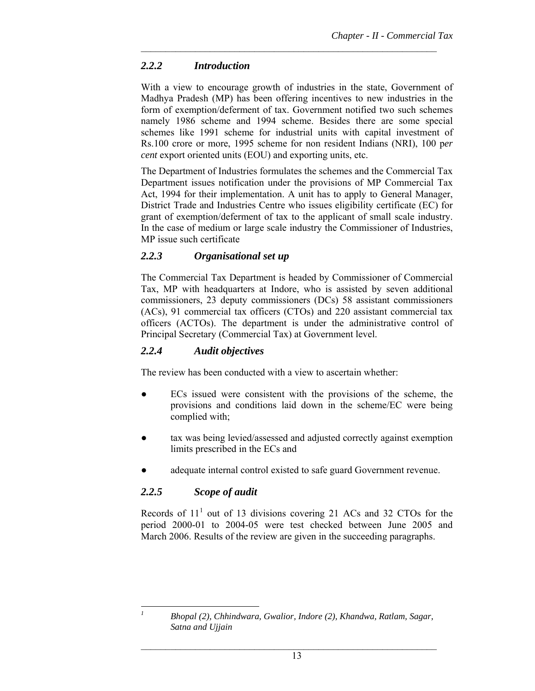## *2.2.2 Introduction*

With a view to encourage growth of industries in the state, Government of Madhya Pradesh (MP) has been offering incentives to new industries in the form of exemption/deferment of tax. Government notified two such schemes namely 1986 scheme and 1994 scheme. Besides there are some special schemes like 1991 scheme for industrial units with capital investment of Rs.100 crore or more, 1995 scheme for non resident Indians (NRI), 100 p*er cent* export oriented units (EOU) and exporting units, etc.

 $\mathcal{L}_\text{max}$  and the contract of the contract of the contract of the contract of the contract of the contract of

The Department of Industries formulates the schemes and the Commercial Tax Department issues notification under the provisions of MP Commercial Tax Act, 1994 for their implementation. A unit has to apply to General Manager, District Trade and Industries Centre who issues eligibility certificate (EC) for grant of exemption/deferment of tax to the applicant of small scale industry. In the case of medium or large scale industry the Commissioner of Industries, MP issue such certificate

## *2.2.3 Organisational set up*

The Commercial Tax Department is headed by Commissioner of Commercial Tax, MP with headquarters at Indore, who is assisted by seven additional commissioners, 23 deputy commissioners (DCs) 58 assistant commissioners (ACs), 91 commercial tax officers (CTOs) and 220 assistant commercial tax officers (ACTOs). The department is under the administrative control of Principal Secretary (Commercial Tax) at Government level.

## *2.2.4 Audit objectives*

The review has been conducted with a view to ascertain whether:

- ECs issued were consistent with the provisions of the scheme, the provisions and conditions laid down in the scheme/EC were being complied with;
- tax was being levied/assessed and adjusted correctly against exemption limits prescribed in the ECs and
- adequate internal control existed to safe guard Government revenue.

## *2.2.5 Scope of audit*

Records of  $11<sup>1</sup>$  out of 13 divisions covering 21 ACs and 32 CTOs for the period 2000-01 to 2004-05 were test checked between June 2005 and March 2006. Results of the review are given in the succeeding paragraphs.

l *1*

*Bhopal (2), Chhindwara, Gwalior, Indore (2), Khandwa, Ratlam, Sagar, Satna and Ujjain*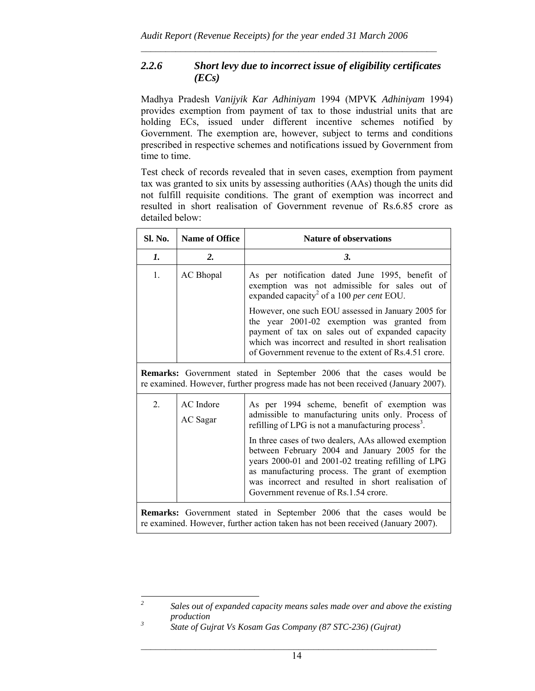## *2.2.6 Short levy due to incorrect issue of eligibility certificates (ECs)*

 $\mathcal{L}_\text{max}$  and the contract of the contract of the contract of the contract of the contract of the contract of

Madhya Pradesh *Vanijyik Kar Adhiniyam* 1994 (MPVK *Adhiniyam* 1994) provides exemption from payment of tax to those industrial units that are holding ECs, issued under different incentive schemes notified by Government. The exemption are, however, subject to terms and conditions prescribed in respective schemes and notifications issued by Government from time to time.

Test check of records revealed that in seven cases, exemption from payment tax was granted to six units by assessing authorities (AAs) though the units did not fulfill requisite conditions. The grant of exemption was incorrect and resulted in short realisation of Government revenue of Rs.6.85 crore as detailed below:

| Sl. No. | <b>Name of Office</b>                                                                                                                                                                                                         | <b>Nature of observations</b>                                                                                                                                                                                                                                                                                                         |  |  |  |  |
|---------|-------------------------------------------------------------------------------------------------------------------------------------------------------------------------------------------------------------------------------|---------------------------------------------------------------------------------------------------------------------------------------------------------------------------------------------------------------------------------------------------------------------------------------------------------------------------------------|--|--|--|--|
| 1.      | 2.                                                                                                                                                                                                                            | 3.                                                                                                                                                                                                                                                                                                                                    |  |  |  |  |
| 1.      | <b>AC</b> Bhopal                                                                                                                                                                                                              | As per notification dated June 1995, benefit of<br>exemption was not admissible for sales out of<br>expanded capacity <sup>2</sup> of a 100 <i>per cent</i> EOU.                                                                                                                                                                      |  |  |  |  |
|         |                                                                                                                                                                                                                               | However, one such EOU assessed in January 2005 for<br>the year 2001-02 exemption was granted from<br>payment of tax on sales out of expanded capacity<br>which was incorrect and resulted in short realisation<br>of Government revenue to the extent of Rs.4.51 crore.                                                               |  |  |  |  |
|         |                                                                                                                                                                                                                               | Remarks: Government stated in September 2006 that the cases would be<br>re examined. However, further progress made has not been received (January 2007).                                                                                                                                                                             |  |  |  |  |
| 2.      | AC Indore<br>AC Sagar                                                                                                                                                                                                         | As per 1994 scheme, benefit of exemption was<br>admissible to manufacturing units only. Process of<br>refilling of LPG is not a manufacturing process <sup>3</sup> .<br>In three cases of two dealers, AAs allowed exemption<br>between February 2004 and January 2005 for the<br>years 2000-01 and 2001-02 treating refilling of LPG |  |  |  |  |
|         | as manufacturing process. The grant of exemption<br>was incorrect and resulted in short realisation of<br>Government revenue of Rs.1.54 crore.<br><b>Remarks:</b> Government stated in September 2006 that the cases would be |                                                                                                                                                                                                                                                                                                                                       |  |  |  |  |
|         |                                                                                                                                                                                                                               | re examined. However, further action taken has not been received (January 2007).                                                                                                                                                                                                                                                      |  |  |  |  |

 *2 Sales out of expanded capacity means sales made over and above the existing production* 

*<sup>3</sup> State of Gujrat Vs Kosam Gas Company (87 STC-236) (Gujrat)*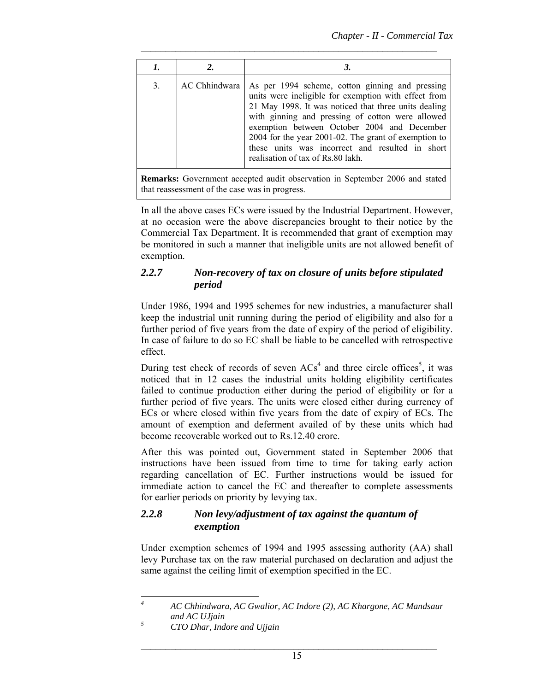| 1. |               |                                                                                                                                                                                                                                                                                                                                                                                                                    |
|----|---------------|--------------------------------------------------------------------------------------------------------------------------------------------------------------------------------------------------------------------------------------------------------------------------------------------------------------------------------------------------------------------------------------------------------------------|
| 3. | AC Chhindwara | As per 1994 scheme, cotton ginning and pressing<br>units were ineligible for exemption with effect from<br>21 May 1998. It was noticed that three units dealing<br>with ginning and pressing of cotton were allowed<br>exemption between October 2004 and December<br>2004 for the year 2001-02. The grant of exemption to<br>these units was incorrect and resulted in short<br>realisation of tax of Rs.80 lakh. |

**Remarks:** Government accepted audit observation in September 2006 and stated that reassessment of the case was in progress.

In all the above cases ECs were issued by the Industrial Department. However, at no occasion were the above discrepancies brought to their notice by the Commercial Tax Department. It is recommended that grant of exemption may be monitored in such a manner that ineligible units are not allowed benefit of exemption.

#### *2.2.7 Non-recovery of tax on closure of units before stipulated period*

Under 1986, 1994 and 1995 schemes for new industries, a manufacturer shall keep the industrial unit running during the period of eligibility and also for a further period of five years from the date of expiry of the period of eligibility. In case of failure to do so EC shall be liable to be cancelled with retrospective effect.

During test check of records of seven  $ACs<sup>4</sup>$  and three circle offices<sup>5</sup>, it was noticed that in 12 cases the industrial units holding eligibility certificates failed to continue production either during the period of eligibility or for a further period of five years. The units were closed either during currency of ECs or where closed within five years from the date of expiry of ECs. The amount of exemption and deferment availed of by these units which had become recoverable worked out to Rs.12.40 crore.

After this was pointed out, Government stated in September 2006 that instructions have been issued from time to time for taking early action regarding cancellation of EC. Further instructions would be issued for immediate action to cancel the EC and thereafter to complete assessments for earlier periods on priority by levying tax.

### *2.2.8 Non levy/adjustment of tax against the quantum of exemption*

Under exemption schemes of 1994 and 1995 assessing authority (AA) shall levy Purchase tax on the raw material purchased on declaration and adjust the same against the ceiling limit of exemption specified in the EC.

 *4 AC Chhindwara, AC Gwalior, AC Indore (2), AC Khargone, AC Mandsaur and AC UJjain 5*

*CTO Dhar, Indore and Ujjain*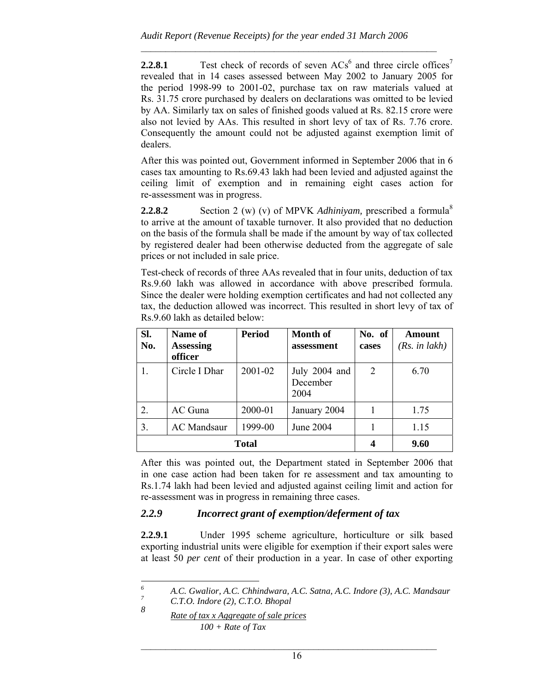**2.2.8.1** Test check of records of seven  $\text{ACs}^6$  and three circle offices<sup>7</sup> revealed that in 14 cases assessed between May 2002 to January 2005 for the period 1998-99 to 2001-02, purchase tax on raw materials valued at Rs. 31.75 crore purchased by dealers on declarations was omitted to be levied by AA. Similarly tax on sales of finished goods valued at Rs. 82.15 crore were also not levied by AAs. This resulted in short levy of tax of Rs. 7.76 crore. Consequently the amount could not be adjusted against exemption limit of dealers.

After this was pointed out, Government informed in September 2006 that in 6 cases tax amounting to Rs.69.43 lakh had been levied and adjusted against the ceiling limit of exemption and in remaining eight cases action for re-assessment was in progress.

**2.2.8.2** Section 2 (w) (v) of MPVK *Adhiniyam*, prescribed a formula<sup>8</sup> to arrive at the amount of taxable turnover. It also provided that no deduction on the basis of the formula shall be made if the amount by way of tax collected by registered dealer had been otherwise deducted from the aggregate of sale prices or not included in sale price.

Test-check of records of three AAs revealed that in four units, deduction of tax Rs.9.60 lakh was allowed in accordance with above prescribed formula. Since the dealer were holding exemption certificates and had not collected any tax, the deduction allowed was incorrect. This resulted in short levy of tax of Rs.9.60 lakh as detailed below:

| SI.<br>No. | Name of<br><b>Assessing</b><br>officer | <b>Period</b> | Month of<br>assessment            | No. of<br>cases | Amount<br>(Rs. in lakh) |
|------------|----------------------------------------|---------------|-----------------------------------|-----------------|-------------------------|
|            | Circle I Dhar                          | 2001-02       | July 2004 and<br>December<br>2004 | 2               | 6.70                    |
| 2.         | AC Guna                                | 2000-01       | January 2004                      |                 | 1.75                    |
| 3.         | <b>AC</b> Mandsaur                     | 1999-00       | June 2004                         |                 | 1.15                    |
|            | <b>Total</b>                           | 4             | 9.60                              |                 |                         |

After this was pointed out, the Department stated in September 2006 that in one case action had been taken for re assessment and tax amounting to Rs.1.74 lakh had been levied and adjusted against ceiling limit and action for re-assessment was in progress in remaining three cases.

## *2.2.9 Incorrect grant of exemption/deferment of tax*

**2.2.9.1** Under 1995 scheme agriculture, horticulture or silk based exporting industrial units were eligible for exemption if their export sales were at least 50 *per cent* of their production in a year. In case of other exporting

 *6 A.C. Gwalior, A.C. Chhindwara, A.C. Satna, A.C. Indore (3), A.C. Mandsaur 7*

*C.T.O. Indore (2), C.T.O. Bhopal* 

*<sup>8</sup> Rate of tax x Aggregate of sale prices 100 + Rate of Tax*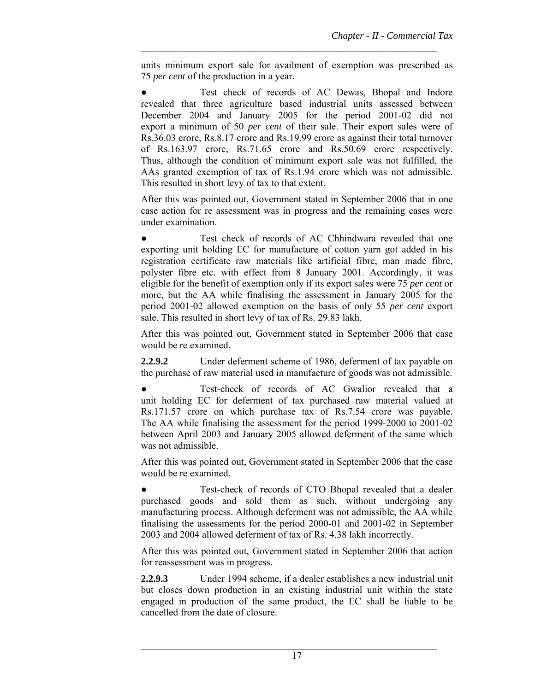units minimum export sale for availment of exemption was prescribed as 75 *per cent* of the production in a year.

 $\mathcal{L}_\text{max}$  and the contract of the contract of the contract of the contract of the contract of the contract of

Test check of records of AC Dewas, Bhopal and Indore revealed that three agriculture based industrial units assessed between December 2004 and January 2005 for the period 2001-02 did not export a minimum of 50 *per cent* of their sale. Their export sales were of Rs.36.03 crore, Rs.8.17 crore and Rs.19.99 crore as against their total turnover of Rs.163.97 crore, Rs.71.65 crore and Rs.50.69 crore respectively. Thus, although the condition of minimum export sale was not fulfilled, the AAs granted exemption of tax of Rs.1.94 crore which was not admissible. This resulted in short levy of tax to that extent.

After this was pointed out, Government stated in September 2006 that in one case action for re assessment was in progress and the remaining cases were under examination.

Test check of records of AC Chhindwara revealed that one exporting unit holding EC for manufacture of cotton yarn got added in his registration certificate raw materials like artificial fibre, man made fibre, polyster fibre etc. with effect from 8 January 2001. Accordingly, it was eligible for the benefit of exemption only if its export sales were 75 *per cent* or more, but the AA while finalising the assessment in January 2005 for the period 2001-02 allowed exemption on the basis of only 55 *per cent* export sale. This resulted in short levy of tax of Rs. 29.83 lakh.

After this was pointed out, Government stated in September 2006 that case would be re examined.

**2.2.9.2** Under deferment scheme of 1986, deferment of tax payable on the purchase of raw material used in manufacture of goods was not admissible.

Test-check of records of AC Gwalior revealed that a unit holding EC for deferment of tax purchased raw material valued at Rs.171.57 crore on which purchase tax of Rs.7.54 crore was payable. The AA while finalising the assessment for the period 1999-2000 to 2001-02 between April 2003 and January 2005 allowed deferment of the same which was not admissible.

After this was pointed out, Government stated in September 2006 that the case would be re examined.

Test-check of records of CTO Bhopal revealed that a dealer purchased goods and sold them as such, without undergoing any manufacturing process. Although deferment was not admissible, the AA while finalising the assessments for the period 2000-01 and 2001-02 in September 2003 and 2004 allowed deferment of tax of Rs. 4.38 lakh incorrectly.

After this was pointed out, Government stated in September 2006 that action for reassessment was in progress.

**2.2.9.3** Under 1994 scheme, if a dealer establishes a new industrial unit but closes down production in an existing industrial unit within the state engaged in production of the same product, the EC shall be liable to be cancelled from the date of closure.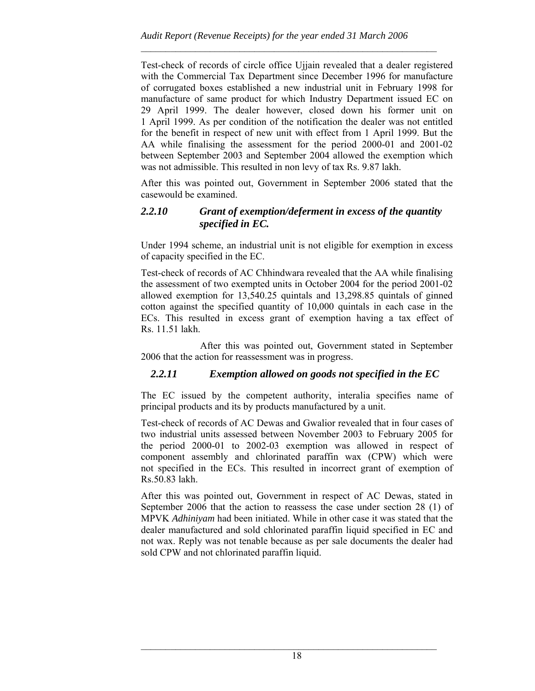Test-check of records of circle office Ujjain revealed that a dealer registered with the Commercial Tax Department since December 1996 for manufacture of corrugated boxes established a new industrial unit in February 1998 for manufacture of same product for which Industry Department issued EC on 29 April 1999. The dealer however, closed down his former unit on 1 April 1999. As per condition of the notification the dealer was not entitled for the benefit in respect of new unit with effect from 1 April 1999. But the AA while finalising the assessment for the period 2000-01 and 2001-02 between September 2003 and September 2004 allowed the exemption which was not admissible. This resulted in non levy of tax Rs. 9.87 lakh.

After this was pointed out, Government in September 2006 stated that the casewould be examined.

## *2.2.10 Grant of exemption/deferment in excess of the quantity specified in EC.*

Under 1994 scheme, an industrial unit is not eligible for exemption in excess of capacity specified in the EC.

Test-check of records of AC Chhindwara revealed that the AA while finalising the assessment of two exempted units in October 2004 for the period 2001-02 allowed exemption for 13,540.25 quintals and 13,298.85 quintals of ginned cotton against the specified quantity of 10,000 quintals in each case in the ECs. This resulted in excess grant of exemption having a tax effect of Rs. 11.51 lakh.

 After this was pointed out, Government stated in September 2006 that the action for reassessment was in progress.

## *2.2.11 Exemption allowed on goods not specified in the EC*

The EC issued by the competent authority, interalia specifies name of principal products and its by products manufactured by a unit.

Test-check of records of AC Dewas and Gwalior revealed that in four cases of two industrial units assessed between November 2003 to February 2005 for the period 2000-01 to 2002-03 exemption was allowed in respect of component assembly and chlorinated paraffin wax (CPW) which were not specified in the ECs. This resulted in incorrect grant of exemption of Rs.50.83 lakh.

After this was pointed out, Government in respect of AC Dewas, stated in September 2006 that the action to reassess the case under section 28 (1) of MPVK *Adhiniyam* had been initiated. While in other case it was stated that the dealer manufactured and sold chlorinated paraffin liquid specified in EC and not wax. Reply was not tenable because as per sale documents the dealer had sold CPW and not chlorinated paraffin liquid.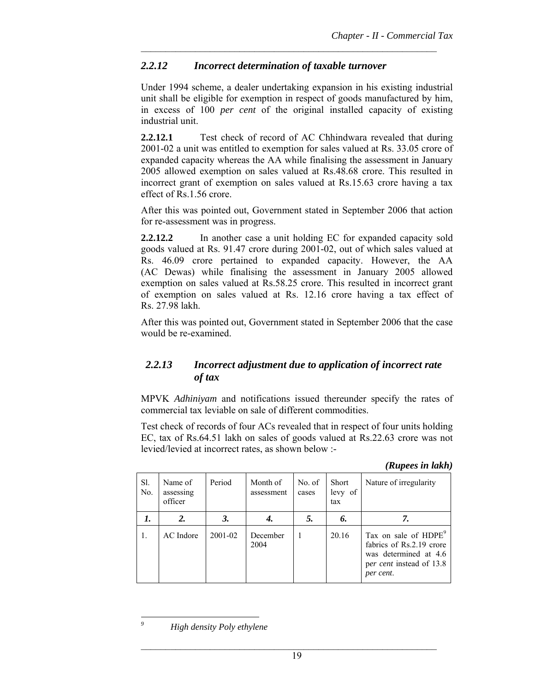## *2.2.12 Incorrect determination of taxable turnover*

Under 1994 scheme, a dealer undertaking expansion in his existing industrial unit shall be eligible for exemption in respect of goods manufactured by him, in excess of 100 *per cent* of the original installed capacity of existing industrial unit.

 $\mathcal{L}_\text{max}$  and the contract of the contract of the contract of the contract of the contract of the contract of

**2.2.12.1** Test check of record of AC Chhindwara revealed that during 2001-02 a unit was entitled to exemption for sales valued at Rs. 33.05 crore of expanded capacity whereas the AA while finalising the assessment in January 2005 allowed exemption on sales valued at Rs.48.68 crore. This resulted in incorrect grant of exemption on sales valued at Rs.15.63 crore having a tax effect of Rs.1.56 crore.

After this was pointed out, Government stated in September 2006 that action for re-assessment was in progress.

**2.2.12.2** In another case a unit holding EC for expanded capacity sold goods valued at Rs. 91.47 crore during 2001-02, out of which sales valued at Rs. 46.09 crore pertained to expanded capacity. However, the AA (AC Dewas) while finalising the assessment in January 2005 allowed exemption on sales valued at Rs.58.25 crore. This resulted in incorrect grant of exemption on sales valued at Rs. 12.16 crore having a tax effect of Rs. 27.98 lakh.

After this was pointed out, Government stated in September 2006 that the case would be re-examined.

## *2.2.13 Incorrect adjustment due to application of incorrect rate of tax*

MPVK *Adhiniyam* and notifications issued thereunder specify the rates of commercial tax leviable on sale of different commodities.

Test check of records of four ACs revealed that in respect of four units holding EC, tax of Rs.64.51 lakh on sales of goods valued at Rs.22.63 crore was not levied/levied at incorrect rates, as shown below :-

| (Rupees in lakh) |  |
|------------------|--|
|                  |  |

| Sl.<br>No. | Name of<br>assessing<br>officer | Period  | Month of<br>assessment | No. of<br>cases | <b>Short</b><br>levy of<br>tax | Nature of irregularity                                                                                                         |
|------------|---------------------------------|---------|------------------------|-----------------|--------------------------------|--------------------------------------------------------------------------------------------------------------------------------|
| 1.         | 2.                              | 3.      |                        | 5.              | 6.                             | 7.                                                                                                                             |
| 1.         | AC Indore                       | 2001-02 | December<br>2004       |                 | 20.16                          | Tax on sale of HDPE <sup>9</sup><br>fabrics of Rs.2.19 crore<br>was determined at 4.6<br>per cent instead of 13.8<br>per cent. |

 *High density Poly ethylene* 

l *9*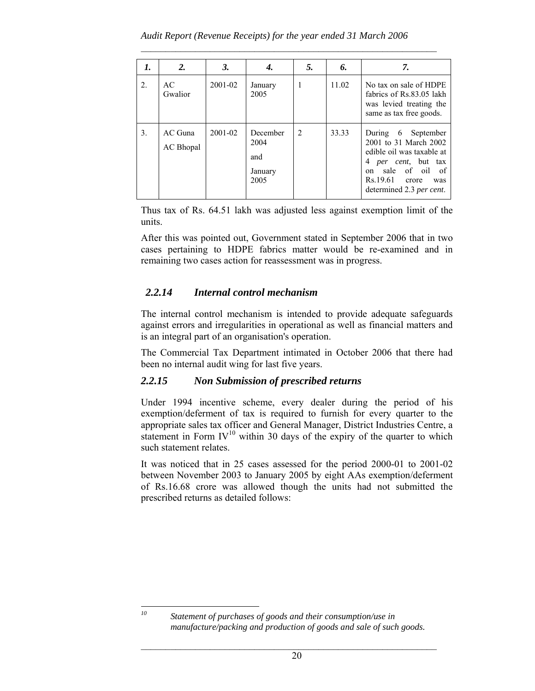| 1. | 2.                     | 3.          |                                            | 5.             | 6.    | 7.                                                                                                                                                                                              |
|----|------------------------|-------------|--------------------------------------------|----------------|-------|-------------------------------------------------------------------------------------------------------------------------------------------------------------------------------------------------|
| 2. | AC<br>Gwalior          | 2001-02     | January<br>2005                            | 1              | 11.02 | No tax on sale of HDPE<br>fabrics of Rs.83.05 lakh<br>was levied treating the<br>same as tax free goods.                                                                                        |
| 3. | $AC$ Guna<br>AC Bhopal | $2001 - 02$ | December<br>2004<br>and<br>January<br>2005 | $\overline{2}$ | 33.33 | During $6$<br>September<br>2001 to 31 March 2002<br>edible oil was taxable at<br>4 <i>per cent</i> , but tax<br>of oil of<br>sale<br>on<br>Rs.19.61<br>crore<br>was<br>determined 2.3 per cent. |

Thus tax of Rs. 64.51 lakh was adjusted less against exemption limit of the units.

After this was pointed out, Government stated in September 2006 that in two cases pertaining to HDPE fabrics matter would be re-examined and in remaining two cases action for reassessment was in progress.

## *2.2.14 Internal control mechanism*

The internal control mechanism is intended to provide adequate safeguards against errors and irregularities in operational as well as financial matters and is an integral part of an organisation's operation.

The Commercial Tax Department intimated in October 2006 that there had been no internal audit wing for last five years.

## *2.2.15 Non Submission of prescribed returns*

Under 1994 incentive scheme, every dealer during the period of his exemption/deferment of tax is required to furnish for every quarter to the appropriate sales tax officer and General Manager, District Industries Centre, a statement in Form  $IV^{10}$  within 30 days of the expiry of the quarter to which such statement relates.

It was noticed that in 25 cases assessed for the period 2000-01 to 2001-02 between November 2003 to January 2005 by eight AAs exemption/deferment of Rs.16.68 crore was allowed though the units had not submitted the prescribed returns as detailed follows:

 $\overline{10}$ 

Statement of purchases of goods and their consumption/use in *manufacture/packing and production of goods and sale of such goods.*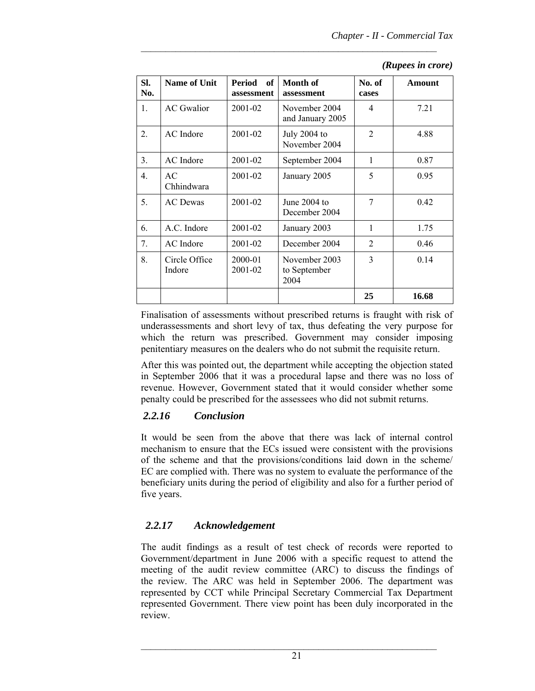| Sl.<br>No. | <b>Name of Unit</b>     | <b>Period</b><br><b>of</b><br>assessment | Month of<br>assessment                | No. of<br>cases | <b>Amount</b> |
|------------|-------------------------|------------------------------------------|---------------------------------------|-----------------|---------------|
| 1.         | <b>AC</b> Gwalior       | 2001-02                                  | November 2004<br>and January 2005     | 4               | 7.21          |
| 2.         | AC Indore               | 2001-02                                  | July 2004 to<br>November 2004         | $\overline{2}$  | 4.88          |
| 3.         | AC Indore               | 2001-02                                  | September 2004                        | 1               | 0.87          |
| 4.         | AC<br>Chhindwara        | 2001-02                                  | January 2005                          | 5               | 0.95          |
| 5.         | <b>AC</b> Dewas         | 2001-02                                  | June $2004$ to<br>December 2004       | 7               | 0.42          |
| 6.         | A.C. Indore             | 2001-02                                  | January 2003                          | 1               | 1.75          |
| 7.         | AC Indore               | 2001-02                                  | December 2004                         | $\overline{2}$  | 0.46          |
| 8.         | Circle Office<br>Indore | 2000-01<br>2001-02                       | November 2003<br>to September<br>2004 | $\overline{3}$  | 0.14          |
|            |                         |                                          |                                       | 25              | 16.68         |

#### *(Rupees in crore)*

Finalisation of assessments without prescribed returns is fraught with risk of underassessments and short levy of tax, thus defeating the very purpose for which the return was prescribed. Government may consider imposing penitentiary measures on the dealers who do not submit the requisite return.

After this was pointed out, the department while accepting the objection stated in September 2006 that it was a procedural lapse and there was no loss of revenue. However, Government stated that it would consider whether some penalty could be prescribed for the assessees who did not submit returns.

### *2.2.16 Conclusion*

It would be seen from the above that there was lack of internal control mechanism to ensure that the ECs issued were consistent with the provisions of the scheme and that the provisions/conditions laid down in the scheme/ EC are complied with. There was no system to evaluate the performance of the beneficiary units during the period of eligibility and also for a further period of five years.

### *2.2.17 Acknowledgement*

The audit findings as a result of test check of records were reported to Government/department in June 2006 with a specific request to attend the meeting of the audit review committee (ARC) to discuss the findings of the review. The ARC was held in September 2006. The department was represented by CCT while Principal Secretary Commercial Tax Department represented Government. There view point has been duly incorporated in the review.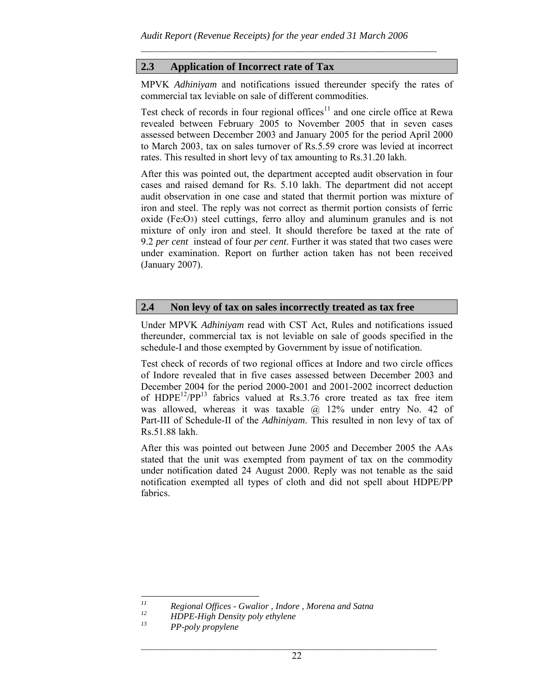## **2.3 Application of Incorrect rate of Tax**

MPVK *Adhiniyam* and notifications issued thereunder specify the rates of commercial tax leviable on sale of different commodities.

 $\mathcal{L}_\text{max}$  and the contract of the contract of the contract of the contract of the contract of the contract of

Test check of records in four regional offices<sup>11</sup> and one circle office at Rewa revealed between February 2005 to November 2005 that in seven cases assessed between December 2003 and January 2005 for the period April 2000 to March 2003, tax on sales turnover of Rs.5.59 crore was levied at incorrect rates. This resulted in short levy of tax amounting to Rs.31.20 lakh.

After this was pointed out, the department accepted audit observation in four cases and raised demand for Rs. 5.10 lakh. The department did not accept audit observation in one case and stated that thermit portion was mixture of iron and steel. The reply was not correct as thermit portion consists of ferric oxide (Fe2O3) steel cuttings, ferro alloy and aluminum granules and is not mixture of only iron and steel. It should therefore be taxed at the rate of 9.2 *per cent* instead of four *per cent*. Further it was stated that two cases were under examination. Report on further action taken has not been received (January 2007).

### **2.4 Non levy of tax on sales incorrectly treated as tax free**

Under MPVK *Adhiniyam* read with CST Act, Rules and notifications issued thereunder, commercial tax is not leviable on sale of goods specified in the schedule-I and those exempted by Government by issue of notification.

Test check of records of two regional offices at Indore and two circle offices of Indore revealed that in five cases assessed between December 2003 and December 2004 for the period 2000-2001 and 2001-2002 incorrect deduction of  $HDPE^{12}/PP^{13}$  fabrics valued at Rs.3.76 crore treated as tax free item was allowed, whereas it was taxable  $\omega$  12% under entry No. 42 of Part-III of Schedule-II of the *Adhiniyam*. This resulted in non levy of tax of Rs.51.88 lakh.

After this was pointed out between June 2005 and December 2005 the AAs stated that the unit was exempted from payment of tax on the commodity under notification dated 24 August 2000. Reply was not tenable as the said notification exempted all types of cloth and did not spell about HDPE/PP fabrics.

 $11$ *11 Regional Offices - Gwalior , Indore , Morena and Satna* 

*<sup>12</sup> HDPE-High Density poly ethylene* 

*<sup>13</sup> PP-poly propylene*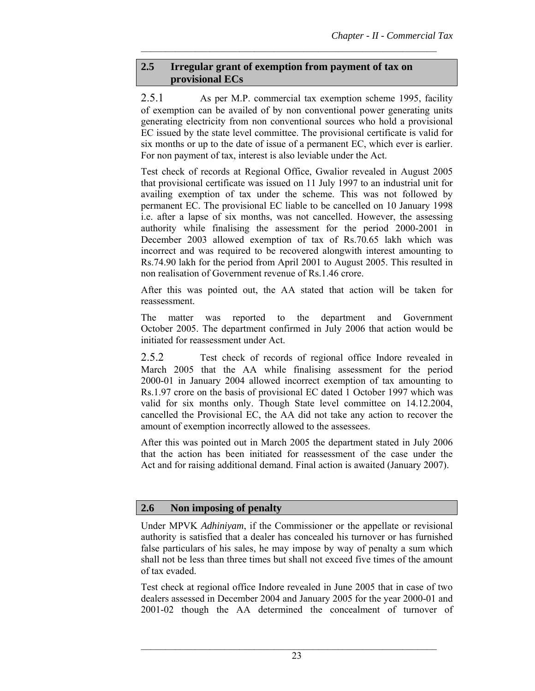## **2.5 Irregular grant of exemption from payment of tax on provisional ECs**

 $\mathcal{L}_\text{max}$  and the contract of the contract of the contract of the contract of the contract of the contract of

2.5.1 As per M.P. commercial tax exemption scheme 1995, facility of exemption can be availed of by non conventional power generating units generating electricity from non conventional sources who hold a provisional EC issued by the state level committee. The provisional certificate is valid for six months or up to the date of issue of a permanent EC, which ever is earlier. For non payment of tax, interest is also leviable under the Act.

Test check of records at Regional Office, Gwalior revealed in August 2005 that provisional certificate was issued on 11 July 1997 to an industrial unit for availing exemption of tax under the scheme. This was not followed by permanent EC. The provisional EC liable to be cancelled on 10 January 1998 i.e. after a lapse of six months, was not cancelled. However, the assessing authority while finalising the assessment for the period 2000-2001 in December 2003 allowed exemption of tax of Rs.70.65 lakh which was incorrect and was required to be recovered alongwith interest amounting to Rs.74.90 lakh for the period from April 2001 to August 2005. This resulted in non realisation of Government revenue of Rs.1.46 crore.

After this was pointed out, the AA stated that action will be taken for reassessment.

The matter was reported to the department and Government October 2005. The department confirmed in July 2006 that action would be initiated for reassessment under Act.

2.5.2 Test check of records of regional office Indore revealed in March 2005 that the AA while finalising assessment for the period 2000-01 in January 2004 allowed incorrect exemption of tax amounting to Rs.1.97 crore on the basis of provisional EC dated 1 October 1997 which was valid for six months only. Though State level committee on 14.12.2004, cancelled the Provisional EC, the AA did not take any action to recover the amount of exemption incorrectly allowed to the assessees.

After this was pointed out in March 2005 the department stated in July 2006 that the action has been initiated for reassessment of the case under the Act and for raising additional demand. Final action is awaited (January 2007).

## **2.6 Non imposing of penalty**

Under MPVK *Adhiniyam*, if the Commissioner or the appellate or revisional authority is satisfied that a dealer has concealed his turnover or has furnished false particulars of his sales, he may impose by way of penalty a sum which shall not be less than three times but shall not exceed five times of the amount of tax evaded.

Test check at regional office Indore revealed in June 2005 that in case of two dealers assessed in December 2004 and January 2005 for the year 2000-01 and 2001-02 though the AA determined the concealment of turnover of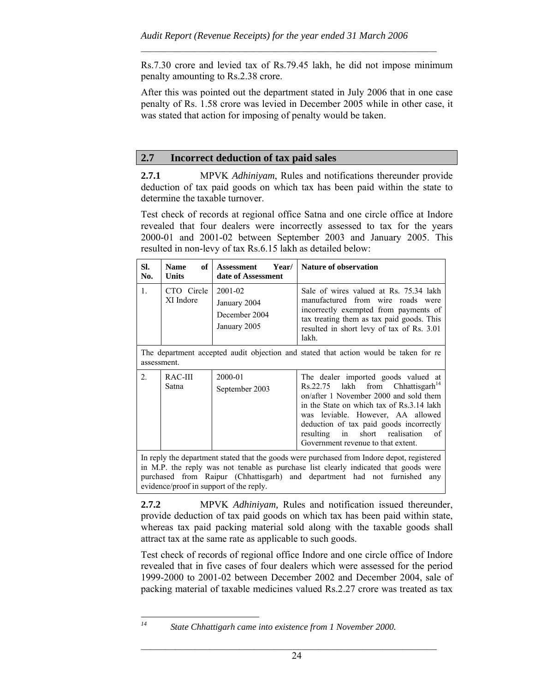Rs.7.30 crore and levied tax of Rs.79.45 lakh, he did not impose minimum penalty amounting to Rs.2.38 crore.

 $\mathcal{L}_\text{max}$  and the contract of the contract of the contract of the contract of the contract of the contract of

After this was pointed out the department stated in July 2006 that in one case penalty of Rs. 1.58 crore was levied in December 2005 while in other case, it was stated that action for imposing of penalty would be taken.

## **2.7 Incorrect deduction of tax paid sales**

**2.7.1** MPVK *Adhiniyam*, Rules and notifications thereunder provide deduction of tax paid goods on which tax has been paid within the state to determine the taxable turnover.

Test check of records at regional office Satna and one circle office at Indore revealed that four dealers were incorrectly assessed to tax for the years 2000-01 and 2001-02 between September 2003 and January 2005. This resulted in non-levy of tax Rs.6.15 lakh as detailed below:

| SI.<br>No.                                                                                                                                                                                                                                                      | of<br><b>Name</b><br><b>Units</b> | Year/I<br><b>Assessment</b><br>date of Assessment        | <b>Nature of observation</b>                                                                                                                                                                                                                                                                                                                |  |  |
|-----------------------------------------------------------------------------------------------------------------------------------------------------------------------------------------------------------------------------------------------------------------|-----------------------------------|----------------------------------------------------------|---------------------------------------------------------------------------------------------------------------------------------------------------------------------------------------------------------------------------------------------------------------------------------------------------------------------------------------------|--|--|
| 1.                                                                                                                                                                                                                                                              | CTO Circle<br>XI Indore           | 2001-02<br>January 2004<br>December 2004<br>January 2005 | Sale of wires valued at Rs. 75.34 lakh<br>manufactured from wire roads were<br>incorrectly exempted from payments of<br>tax treating them as tax paid goods. This<br>resulted in short levy of tax of Rs. 3.01<br>lakh.                                                                                                                     |  |  |
| assessment.                                                                                                                                                                                                                                                     |                                   |                                                          | The department accepted audit objection and stated that action would be taken for re                                                                                                                                                                                                                                                        |  |  |
| 2 <sub>1</sub>                                                                                                                                                                                                                                                  | RAC-III<br>Satna                  | 2000-01<br>September 2003                                | The dealer imported goods valued at<br>$Rs.22.75$ lakh from Chhattisgarh <sup>14</sup><br>on/after 1 November 2000 and sold them<br>in the State on which tax of Rs.3.14 lakh<br>was leviable. However, AA allowed<br>deduction of tax paid goods incorrectly<br>resulting in short realisation<br>of<br>Government revenue to that extent. |  |  |
| In reply the department stated that the goods were purchased from Indore depot, registered<br>in M.P. the reply was not tenable as purchase list clearly indicated that goods were<br>purchased from Raipur (Chhattisgarh) and department had not furnished any |                                   |                                                          |                                                                                                                                                                                                                                                                                                                                             |  |  |

**2.7.2** MPVK *Adhiniyam,* Rules and notification issued thereunder, provide deduction of tax paid goods on which tax has been paid within state, whereas tax paid packing material sold along with the taxable goods shall attract tax at the same rate as applicable to such goods.

Test check of records of regional office Indore and one circle office of Indore revealed that in five cases of four dealers which were assessed for the period 1999-2000 to 2001-02 between December 2002 and December 2004, sale of packing material of taxable medicines valued Rs.2.27 crore was treated as tax

evidence/proof in support of the reply.

 $l4$ 

*State Chhattigarh came into existence from 1 November 2000.*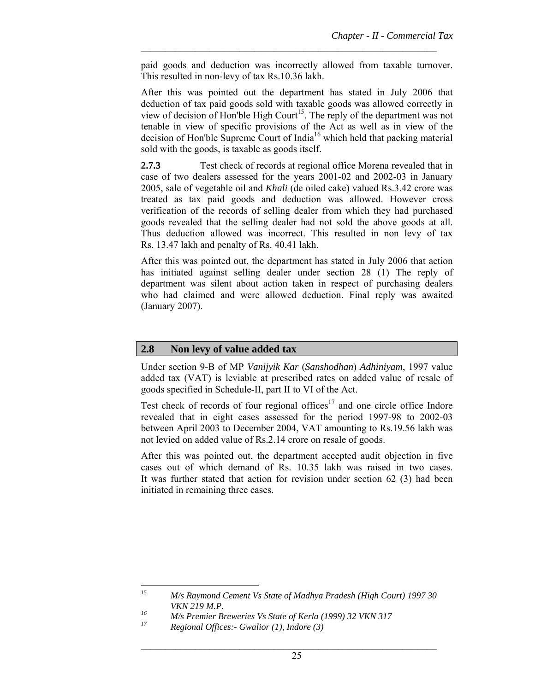paid goods and deduction was incorrectly allowed from taxable turnover. This resulted in non-levy of tax Rs.10.36 lakh.

 $\mathcal{L}_\text{max}$  and the contract of the contract of the contract of the contract of the contract of the contract of

After this was pointed out the department has stated in July 2006 that deduction of tax paid goods sold with taxable goods was allowed correctly in view of decision of Hon'ble High Court<sup>15</sup>. The reply of the department was not tenable in view of specific provisions of the Act as well as in view of the decision of Hon'ble Supreme Court of India<sup>16</sup> which held that packing material sold with the goods, is taxable as goods itself.

**2.7.3** Test check of records at regional office Morena revealed that in case of two dealers assessed for the years 2001-02 and 2002-03 in January 2005, sale of vegetable oil and *Khali* (de oiled cake) valued Rs.3.42 crore was treated as tax paid goods and deduction was allowed. However cross verification of the records of selling dealer from which they had purchased goods revealed that the selling dealer had not sold the above goods at all. Thus deduction allowed was incorrect. This resulted in non levy of tax Rs. 13.47 lakh and penalty of Rs. 40.41 lakh.

After this was pointed out, the department has stated in July 2006 that action has initiated against selling dealer under section 28 (1) The reply of department was silent about action taken in respect of purchasing dealers who had claimed and were allowed deduction. Final reply was awaited (January 2007).

### **2.8 Non levy of value added tax**

Under section 9-B of MP *Vanijyik Kar* (*Sanshodhan*) *Adhiniyam*, 1997 value added tax (VAT) is leviable at prescribed rates on added value of resale of goods specified in Schedule-II, part II to VI of the Act.

Test check of records of four regional offices<sup>17</sup> and one circle office Indore revealed that in eight cases assessed for the period 1997-98 to 2002-03 between April 2003 to December 2004, VAT amounting to Rs.19.56 lakh was not levied on added value of Rs.2.14 crore on resale of goods.

After this was pointed out, the department accepted audit objection in five cases out of which demand of Rs. 10.35 lakh was raised in two cases. It was further stated that action for revision under section 62 (3) had been initiated in remaining three cases.

 $15$ *15 M/s Raymond Cement Vs State of Madhya Pradesh (High Court) 1997 30 VKN 219 M.P.* 

*<sup>16</sup> M/s Premier Breweries Vs State of Kerla (1999) 32 VKN 317* 

*<sup>17</sup> Regional Offices:- Gwalior (1), Indore (3)*